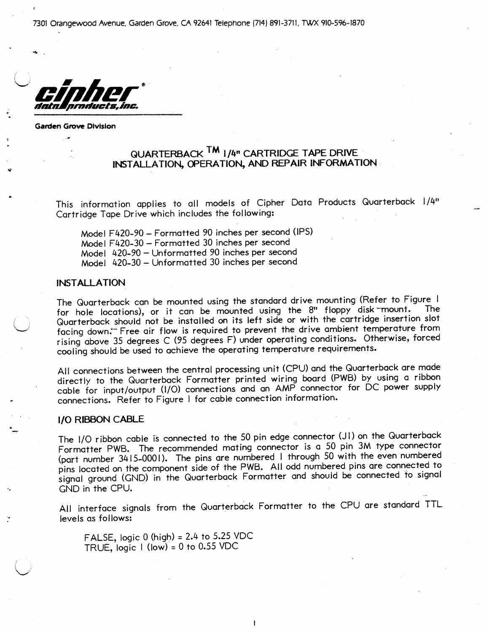7301 Orangewood Avenue, Garden Grove, CA 92641 Telephone (7141 891-3711, TWX 91O-S96~1870

I ' nmducts.inc.

Garden Grove Division

. .

..

# QUARTERBACK <sup>TM</sup> 1/4" CARTRIDGE TAPE DRIVE INSTALLATION, OPERATION, AND REPAIR INFORMATION

This information applies to all models of Cipher Data Products Quarterback 1/4" Cartridge Tape Drive which includes the following:

Model F420-90 - Formatted 90 inches per second (IPS) Model F420-30 - Formatted 30 inches per second Model 420-90 - Unformatted 90 inches per second Model 420-30 - Unformatted 30 inches per second

### INSTALLATION

The Quarterback can be mounted using the standard drive mounting (Refer to Figure I for hole locations), or it can be mounted using the 8" floppy disk mount. Quarterback should not be installed on its left side or with the cartridge insertion slot facing down.<sup>--</sup> Free air flow is required to prevent the drive ambient temperature from rising above 35 degrees C (95 degrees F) under operating conditions. Otherwise, forced cooling should be used to achieve the operating temperature requirements.

All connections between the central processing unit (CPU) and the Quarterback are made directly to the Quarterback Formatter printed wiring board (PWB) by using a ribbon cable for input/output (I/O) connections and an AMP connector for DC power supply connections. Refer to Figure I for cable connection information.

### I/O RIBBON CABLE

The I/O ribbon cable is connected to the 50 pin edge connector (JI) on the Quarterback Formatter PWB. The recommended mating connector is a 50 pin 3M type connector (part number 3415-0001). The pins are numbered I through 50 with the even numbered pins located on the component side of the PWB. All odd numbered pins are connected to signal ground (GND) in the Quarterback Formatter and should be connected to signal GND in the CPU.

All interface signals from the Quarterback Formatter to the CPU are standard TTL levels as follows:

1

FALSE, logic  $0$  (high) = 2.4 to 5.25 VDC TRUE, logic  $I$  (low) = 0 to 0.55 VDC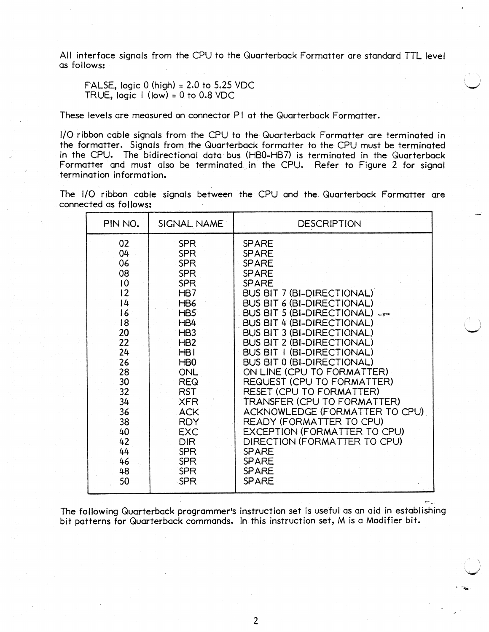All interface signals from the CPU to the Quarterback Formatter are standard TTL level as follows:

FALSE, logic  $0$  (high) = 2.0 to 5.25 VDC TRUE,  $logic 1$  (low) = 0 to 0.8 VDC

These levels are measured on connector PI at the Quarterback Formatter.

I/O ribbon cable signals from the CPU to the Quarterback Formatter are terminated in the formatter. Signals from the Quarterback formatter to the CPU must be terminated in the CPU. The bidirectional data bus (HBO-HB7) is terminated in the Quarterback Formatter and must also be terminated in the CPU. Refer to Figure 2 for signal termination information.

|  |                       |  |  |  |  | The I/O ribbon cable signals between the CPU and the Quarterback Formatter are |  |
|--|-----------------------|--|--|--|--|--------------------------------------------------------------------------------|--|
|  | connected as follows: |  |  |  |  |                                                                                |  |

| PIN NO. | SIGNAL NAME      | <b>DESCRIPTION</b>                |
|---------|------------------|-----------------------------------|
| 02      | <b>SPR</b>       | <b>SPARE</b>                      |
| 04      | <b>SPR</b>       | <b>SPARE</b>                      |
| 06      | <b>SPR</b>       | <b>SPARE</b>                      |
| 08      | <b>SPR</b>       | <b>SPARE</b>                      |
| 0       | <b>SPR</b>       | <b>SPARE</b>                      |
| 2       | HB7              | BUS BIT 7 (BI-DIRECTIONAL)        |
| 4       | HB6              | <b>BUS BIT 6 (BI-DIRECTIONAL)</b> |
| 16      | HB5              | BUS BIT 5 (BI-DIRECTIONAL)        |
| 18      | HB4              | <b>BUS BIT 4 (BI-DIRECTIONAL)</b> |
| 20      | HB <sub>3</sub>  | <b>BUS BIT 3 (BI-DIRECTIONAL)</b> |
| 22      | HB <sub>2</sub>  | <b>BUS BIT 2 (BI-DIRECTIONAL)</b> |
| 24      | HB1              | <b>BUS BIT 1 (BI-DIRECTIONAL)</b> |
| 26      | H <sub>B</sub> O | <b>BUS BIT 0 (BI-DIRECTIONAL)</b> |
| 28      | <b>ONL</b>       | ON LINE (CPU TO FORMATTER)        |
| 30      | <b>REQ</b>       | REQUEST (CPU TO FORMATTER)        |
| 32      | <b>RST</b>       | RESET (CPU TO FORMATTER)          |
| 34      | <b>XFR</b>       | TRANSFER (CPU TO FORMATTER)       |
| 36      | <b>ACK</b>       | ACKNOWLEDGE (FORMATTER TO CPU)    |
| 38      | <b>RDY</b>       | READY (FORMATTER TO CPU)          |
| 40      | <b>EXC</b>       | EXCEPTION (FORMATTER TO CPU)      |
| 42      | <b>DIR</b>       | DIRECTION (FORMATTER TO CPU)      |
| 44      | <b>SPR</b>       | <b>SPARE</b>                      |
| 46      | <b>SPR</b>       | <b>SPARE</b>                      |
| 48      | <b>SPR</b>       | <b>SPARE</b>                      |
| 50      | SPR              | <b>SPARE</b>                      |

The following Quarterback programmer's instruction set is useful as an aid in establishing bit patterns for Quarterback commands. In this instruction set, M is a Modifier bit.

 $P_1^{\mu\nu}$  . . .

/ i,  $\lambda$ V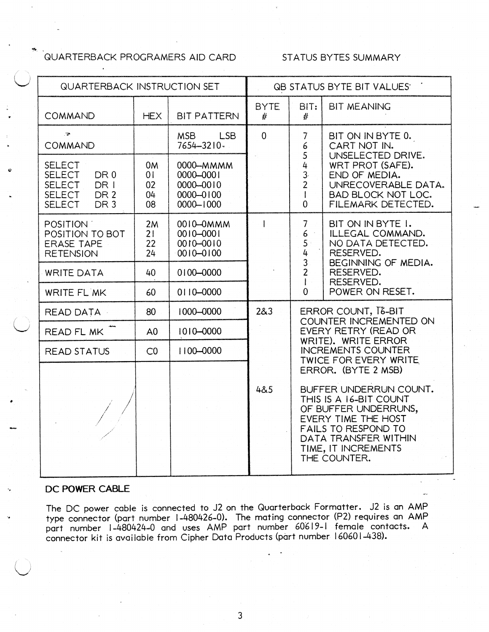# '" .. QUARTERBACK PROGRAMERS AID CARD STATUS BYTES SUMMARY

| <b>QUARTERBACK INSTRUCTION SET</b>                                                                                                                 |                                        | <b>QB STATUS BYTE BIT VALUES</b>                                      |                                                                                                     |                                                                                                                              |                                                                                                                                                                                                                     |  |
|----------------------------------------------------------------------------------------------------------------------------------------------------|----------------------------------------|-----------------------------------------------------------------------|-----------------------------------------------------------------------------------------------------|------------------------------------------------------------------------------------------------------------------------------|---------------------------------------------------------------------------------------------------------------------------------------------------------------------------------------------------------------------|--|
| <b>COMMAND</b>                                                                                                                                     | <b>HEX</b>                             | <b>BIT PATTERN</b>                                                    | <b>BYTE</b><br>#                                                                                    | BIT:<br>#                                                                                                                    | <b>BIT MEANING</b>                                                                                                                                                                                                  |  |
| $\overline{\bullet}$<br>COMMAND                                                                                                                    |                                        | <b>MSB</b><br>LSB<br>7654-3210-                                       | $\overline{0}$                                                                                      | 7<br>6                                                                                                                       | BIT ON IN BYTE 0.<br>CART NOT IN.                                                                                                                                                                                   |  |
| <b>SELECT</b><br><b>SELECT</b><br>DR <sub>0</sub><br><b>SELECT</b><br>DR I<br><b>SELECT</b><br>DR <sub>2</sub><br><b>SELECT</b><br>DR <sub>3</sub> | 0 <sub>M</sub><br>01<br>02<br>04<br>08 | 0000-MMMM<br>0000-0001<br>$0000 - 0010$<br>0000-0100<br>$0000 - 1000$ |                                                                                                     | 5<br>$\frac{4}{3}$<br>$\overline{2}$<br>$\overline{1}$<br>0                                                                  | UNSELECTED DRIVE.<br>WRT PROT (SAFE).<br>END OF MEDIA.<br>UNRECOVERABLE DATA.<br><b>BAD BLOCK NOT LOC.</b><br>FILEMARK DETECTED.                                                                                    |  |
| POSITION :<br>POSITION TO BOT<br><b>ERASE TAPE</b><br><b>RETENSION</b>                                                                             | 2M<br>21<br>22<br>24                   | 0010-0MMM<br>$0010 - 0001$<br>$010 - 0100$<br>$0010 - 0100$           | $\mathbf{I}$                                                                                        | $\overline{7}$<br>BIT ON IN BYTE I.<br>$\epsilon$<br>ILLEGAL COMMAND.<br>$\mathsf{S}$<br>NO DATA DETECTED.<br>4<br>RESERVED. |                                                                                                                                                                                                                     |  |
| <b>WRITE DATA</b>                                                                                                                                  | 40                                     | $0100 - 0000$                                                         |                                                                                                     | 3<br>$\overline{2}$<br>$\mathbf{I}$                                                                                          | BEGINNING OF MEDIA.<br>RESERVED.<br>RESERVED.                                                                                                                                                                       |  |
| WRITE FL MK                                                                                                                                        | 60                                     | 0110-0000                                                             |                                                                                                     | $\overline{0}$                                                                                                               | POWER ON RESET.                                                                                                                                                                                                     |  |
| <b>READ DATA</b>                                                                                                                                   | 80                                     | 1000-0000                                                             | 283<br>ERROR COUNT, T&-BIT<br>COUNTER INCREMENTED ON<br>EVERY RETRY (READ OR<br>WRITE). WRITE ERROR |                                                                                                                              |                                                                                                                                                                                                                     |  |
| <b>READ FL MK</b>                                                                                                                                  | A <sub>0</sub>                         | 1010-0000                                                             |                                                                                                     |                                                                                                                              |                                                                                                                                                                                                                     |  |
| <b>READ STATUS</b>                                                                                                                                 | CO                                     | 1100-0000                                                             |                                                                                                     | <b>INCREMENTS COUNTER</b><br>TWICE FOR EVERY WRITE                                                                           |                                                                                                                                                                                                                     |  |
|                                                                                                                                                    |                                        |                                                                       | 4&5                                                                                                 |                                                                                                                              | ERROR. (BYTE 2 MSB)<br>BUFFER UNDERRUN COUNT.<br>THIS IS A 16-BIT COUNT<br>OF BUFFER UNDERRUNS,<br>EVERY TIME THE HOST<br><b>FAILS TO RESPOND TO</b><br>DATA TRANSFER WITHIN<br>TIME, IT INCREMENTS<br>THE COUNTER. |  |

## DC POWER CABLE

The DC power cable is connected to J2 on the Quarterback Formatter. J2 is an AMP type connector (part number 1-480426-0). The mating connector (P2) requires an AMP part number 1-480424-0 and uses AMP part number 60619-1 female contacts. A connector kit is available from Cipher Data Products (part number 160601-438).

3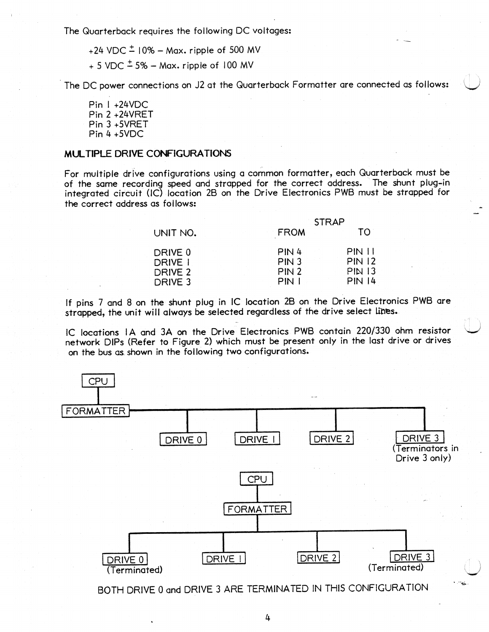The Quarterback requires the following DC voltages:

 $+24$  VDC  $\pm$  10% - Max. ripple of 500 MV

 $+ 5$  VDC  $\pm$  5%  $-$  Max. ripple of 100 MV

The DC power connections on J2 at the Quarterback Formatter are connected as follows:

Pin I +24VDC Pin 2 +24VRET Pin 3 +SVRET Pin 4 +SVDC

### MULTIPLE DRIVE CONFIGURATIONS

For multiple drive configurations using a common formatter, each Quarterback must be of the same recording speed and strapped for the correct address. The shunt plug-in integrated circuit (IC) location 2B on the Drive Electronics PWB must be strapped for the correct address as follows:

|          | <b>STRAP</b>     |               |  |  |  |
|----------|------------------|---------------|--|--|--|
| UNIT NO. | <b>FROM</b>      | TO.           |  |  |  |
| DRIVE 0  | PIN4             | <b>PIN 11</b> |  |  |  |
| DRIVE I  | PIN <sub>3</sub> | <b>PIN 12</b> |  |  |  |
| DRIVE 2  | PIN <sub>2</sub> | <b>PIN 13</b> |  |  |  |
| DRIVE 3  | PIN.             | <b>PIN 14</b> |  |  |  |

If pins 7 and 8 on the shunt plug in IC location 28 on the Drive Electronics PWB are strapped, the unit will always be selected regardless of the drive select lines.

IC locations IA and 3A on the Drive Electronics PWB contain 220/330 ohm resistor network DIPs (Refer to Figure 2) which must be present only in the last drive or drives on the bus as shown in the following two configurations.

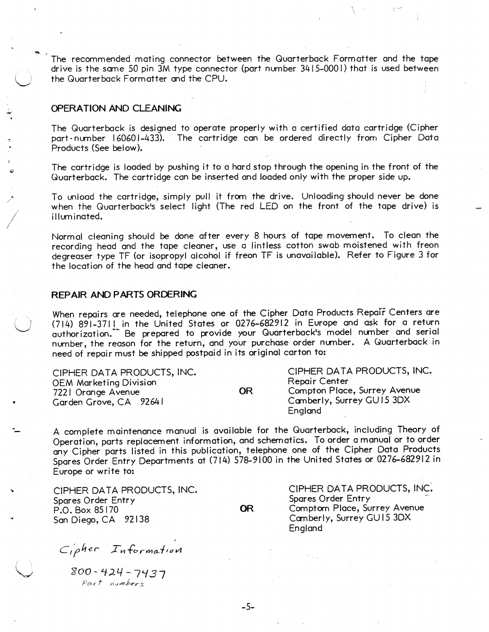The recommended mating connector between the Quarterback Formatter and the tape drive is the same 50 pin 3M type connector (part number 3415-000 I) that is used between the Quarterback Formatter and the CPU. .

### OPERATION AND CLEANING

.. ./

 $\bigg/ \bigg.$ /

 $\bigcirc$ 

•

**U** 

The Quarterback is designed to operate properly with a certified data cartridge (Cipher part- number 160601-433). The cartridge can be ordered directly from Cipher Data Products (See below).

The cartridge is loaded by pushing it to a hard stop through the opening in the front of the Quarterback. The cartridge can be inserted and loaded only with the proper side up.

To unload the cartridge, simply pull it from the drive. Unloading should never be done when the Quarterback's select light (The red LED on the front of the tape drive) is illuminated.

Normal cleaning should be done after every 8 hours of tape movement. To clean the recording head and the tape cleaner, use a lintless cotton swab moistened with freon degreaser type TF (or isopropyl alcohol if freon TF is unavailable). Refer to Figure 3 for the location of the head and tape cleaner.

### **REPAIR AND P** ARTS **ORDERING**

When repairs are needed, telephone one of the Cipher Data Products Repair Centers are (714)891-3711 in the United States or 0276-682912 in Europe and ask for a return authorization." Be prepared to provide your Quarterback's model number and serial number, the reason for the return, and yo'ur purchase order number. A Quarterback in need of repair must be shipped postpaid in its original carton to:

| CIPHER DATA PRODUCTS, INC.    | CIPHER DATA PRODUCTS, INC. |                              |  |
|-------------------------------|----------------------------|------------------------------|--|
| <b>OEM Marketing Division</b> |                            | Repair Center                |  |
| 7221 Orange Avenue            | OR                         | Compton Place, Surrey Avenue |  |
| Garden Grove, CA 92641        |                            | Camberly, Surrey GU15 3DX    |  |
|                               |                            | England                      |  |

A complete maintenance manual is available for the Quarterback, including Theory of Operation, parts replacement information, and schematics. To order a manual or to order any Cipher parts listed in this publication, telephone one of the Cipher Data Products Spares Order Entry Departments at (714) 578-9100 in the United States or 0276-682912 in Europe or write to:

CIPHER DATA PRODUCTS, INC. Spares Order Entry P.O. Box 85170 San Diego, CA 92138

OR

CIPHER DATA PRODUCTS, INC: Spares Order Entry Comptom Place, Surrey Avenue Camberly, Surrey GU15 3DX England

 $C_1$ *pher Information* 

U <gOO - '1:>..4 *-7'137*  Part *numbers*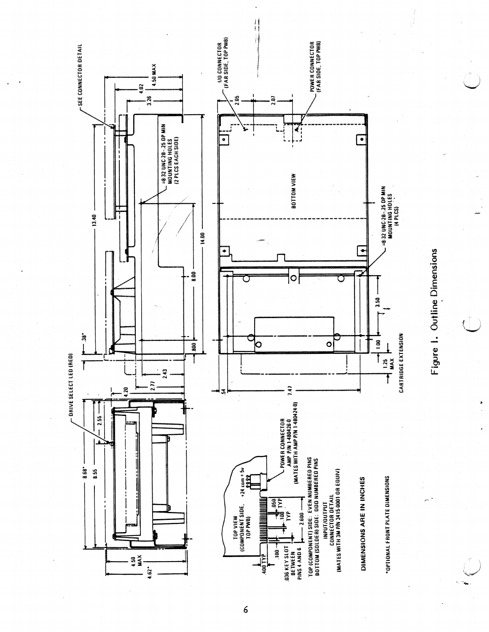

 $\boldsymbol{6}$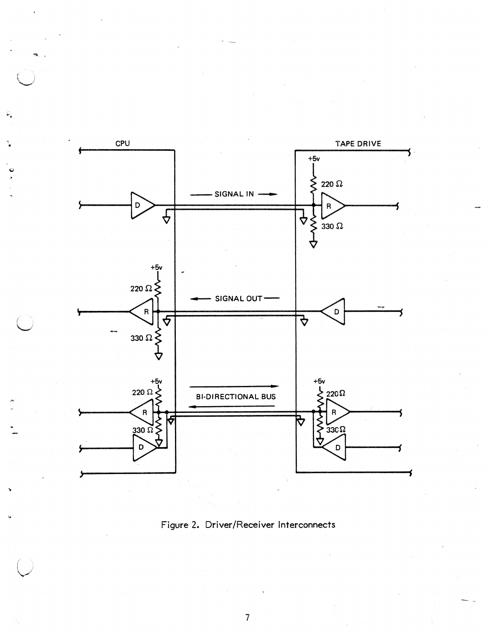

¥,

Figure 2. Driver/Receiver Interconnects